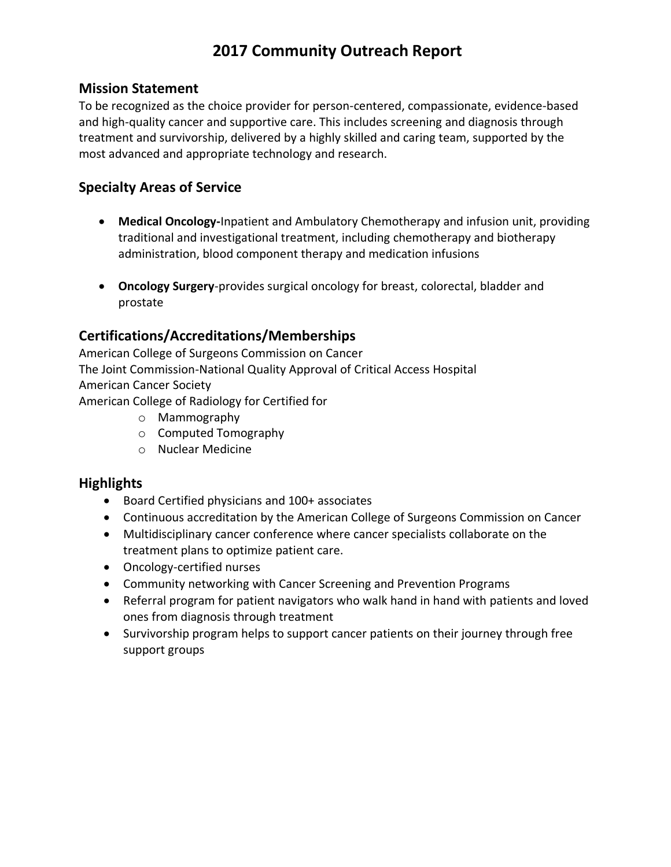## **2017 Community Outreach Report**

### **Mission Statement**

To be recognized as the choice provider for person-centered, compassionate, evidence-based and high-quality cancer and supportive care. This includes screening and diagnosis through treatment and survivorship, delivered by a highly skilled and caring team, supported by the most advanced and appropriate technology and research.

### **Specialty Areas of Service**

- **Medical Oncology-**Inpatient and Ambulatory Chemotherapy and infusion unit, providing traditional and investigational treatment, including chemotherapy and biotherapy administration, blood component therapy and medication infusions
- **Oncology Surgery**-provides surgical oncology for breast, colorectal, bladder and prostate

### **Certifications/Accreditations/Memberships**

American College of Surgeons Commission on Cancer The Joint Commission-National Quality Approval of Critical Access Hospital American Cancer Society American College of Radiology for Certified for

- o Mammography
- o Computed Tomography
- o Nuclear Medicine

### **Highlights**

- Board Certified physicians and 100+ associates
- Continuous accreditation by the American College of Surgeons Commission on Cancer
- Multidisciplinary cancer conference where cancer specialists collaborate on the treatment plans to optimize patient care.
- Oncology-certified nurses
- Community networking with Cancer Screening and Prevention Programs
- Referral program for patient navigators who walk hand in hand with patients and loved ones from diagnosis through treatment
- Survivorship program helps to support cancer patients on their journey through free support groups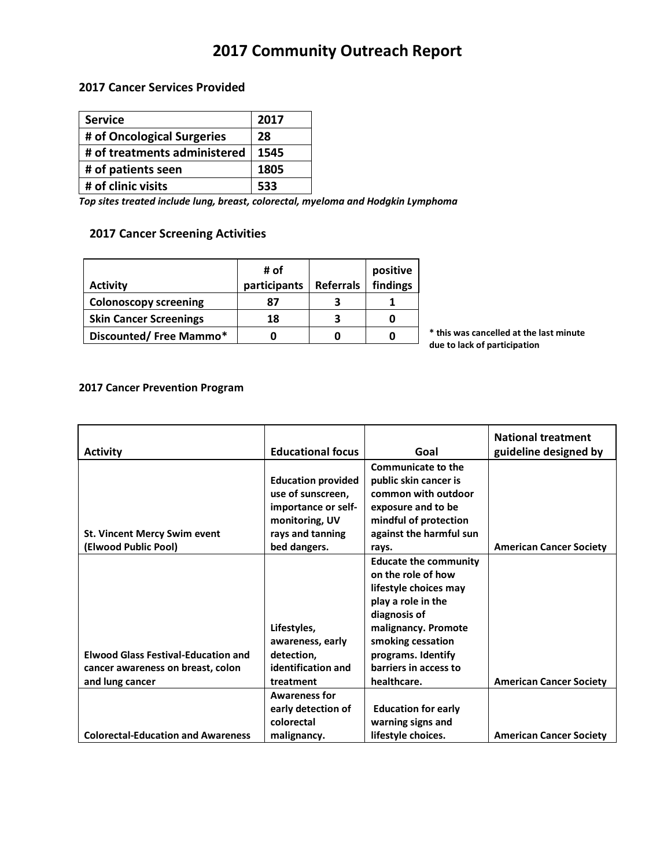## **2017 Community Outreach Report**

#### **2017 Cancer Services Provided**

| <b>Service</b>               | 2017 |
|------------------------------|------|
| # of Oncological Surgeries   | 28   |
| # of treatments administered | 1545 |
| # of patients seen           | 1805 |
| # of clinic visits           | 533  |

*Top sites treated include lung, breast, colorectal, myeloma and Hodgkin Lymphoma*

### **2017 Cancer Screening Activities**

| <b>Activity</b>               | # of<br>participants | <b>Referrals</b> | positive<br>findings |
|-------------------------------|----------------------|------------------|----------------------|
| <b>Colonoscopy screening</b>  | 87                   |                  |                      |
| <b>Skin Cancer Screenings</b> | 18                   | 3                |                      |
| Discounted/Free Mammo*        |                      |                  |                      |

**\* this was cancelled at the last minute due to lack of participation**

#### **2017 Cancer Prevention Program**

|                                            |                           |                              | <b>National treatment</b>      |
|--------------------------------------------|---------------------------|------------------------------|--------------------------------|
| <b>Activity</b>                            | <b>Educational focus</b>  | Goal                         | guideline designed by          |
|                                            |                           | <b>Communicate to the</b>    |                                |
|                                            | <b>Education provided</b> | public skin cancer is        |                                |
|                                            | use of sunscreen,         | common with outdoor          |                                |
|                                            | importance or self-       | exposure and to be           |                                |
|                                            | monitoring, UV            | mindful of protection        |                                |
| <b>St. Vincent Mercy Swim event</b>        | rays and tanning          | against the harmful sun      |                                |
| (Elwood Public Pool)                       | bed dangers.              | rays.                        | <b>American Cancer Society</b> |
|                                            |                           | <b>Educate the community</b> |                                |
|                                            |                           | on the role of how           |                                |
|                                            |                           | lifestyle choices may        |                                |
|                                            |                           | play a role in the           |                                |
|                                            |                           | diagnosis of                 |                                |
|                                            | Lifestyles,               | malignancy. Promote          |                                |
|                                            | awareness, early          | smoking cessation            |                                |
| <b>Elwood Glass Festival-Education and</b> | detection,                | programs. Identify           |                                |
| cancer awareness on breast, colon          | identification and        | barriers in access to        |                                |
| and lung cancer                            | treatment                 | healthcare.                  | <b>American Cancer Society</b> |
|                                            | <b>Awareness for</b>      |                              |                                |
|                                            | early detection of        | <b>Education for early</b>   |                                |
|                                            | colorectal                | warning signs and            |                                |
| <b>Colorectal-Education and Awareness</b>  | malignancy.               | lifestyle choices.           | <b>American Cancer Society</b> |